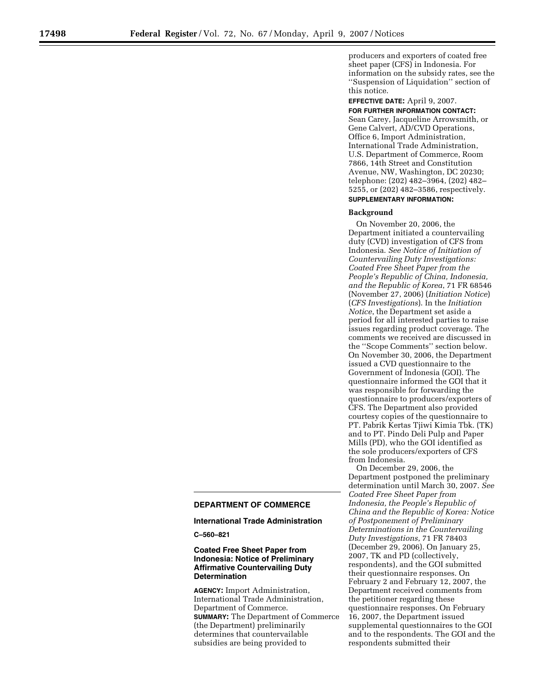producers and exporters of coated free sheet paper (CFS) in Indonesia. For information on the subsidy rates, see the ''Suspension of Liquidation'' section of this notice.

**EFFECTIVE DATE:** April 9, 2007.

**FOR FURTHER INFORMATION CONTACT:**  Sean Carey, Jacqueline Arrowsmith, or Gene Calvert, AD/CVD Operations, Office 6, Import Administration, International Trade Administration, U.S. Department of Commerce, Room 7866, 14th Street and Constitution Avenue, NW, Washington, DC 20230; telephone: (202) 482–3964, (202) 482– 5255, or (202) 482–3586, respectively.

# **SUPPLEMENTARY INFORMATION:**

## **Background**

On November 20, 2006, the Department initiated a countervailing duty (CVD) investigation of CFS from Indonesia. *See Notice of Initiation of Countervailing Duty Investigations: Coated Free Sheet Paper from the People's Republic of China, Indonesia, and the Republic of Korea*, 71 FR 68546 (November 27, 2006) (*Initiation Notice*) (*CFS Investigations*). In the *Initiation Notice*, the Department set aside a period for all interested parties to raise issues regarding product coverage. The comments we received are discussed in the ''Scope Comments'' section below. On November 30, 2006, the Department issued a CVD questionnaire to the Government of Indonesia (GOI). The questionnaire informed the GOI that it was responsible for forwarding the questionnaire to producers/exporters of CFS. The Department also provided courtesy copies of the questionnaire to PT. Pabrik Kertas Tjiwi Kimia Tbk. (TK) and to PT. Pindo Deli Pulp and Paper Mills (PD), who the GOI identified as the sole producers/exporters of CFS from Indonesia.

On December 29, 2006, the Department postponed the preliminary determination until March 30, 2007. *See Coated Free Sheet Paper from Indonesia, the People's Republic of China and the Republic of Korea: Notice of Postponement of Preliminary Determinations in the Countervailing Duty Investigations*, 71 FR 78403 (December 29, 2006). On January 25, 2007, TK and PD (collectively, respondents), and the GOI submitted their questionnaire responses. On February 2 and February 12, 2007, the Department received comments from the petitioner regarding these questionnaire responses. On February 16, 2007, the Department issued supplemental questionnaires to the GOI and to the respondents. The GOI and the respondents submitted their

## **DEPARTMENT OF COMMERCE**

#### **International Trade Administration**

**C–560–821** 

## **Coated Free Sheet Paper from Indonesia: Notice of Preliminary Affirmative Countervailing Duty Determination**

**AGENCY:** Import Administration, International Trade Administration, Department of Commerce. **SUMMARY:** The Department of Commerce (the Department) preliminarily determines that countervailable subsidies are being provided to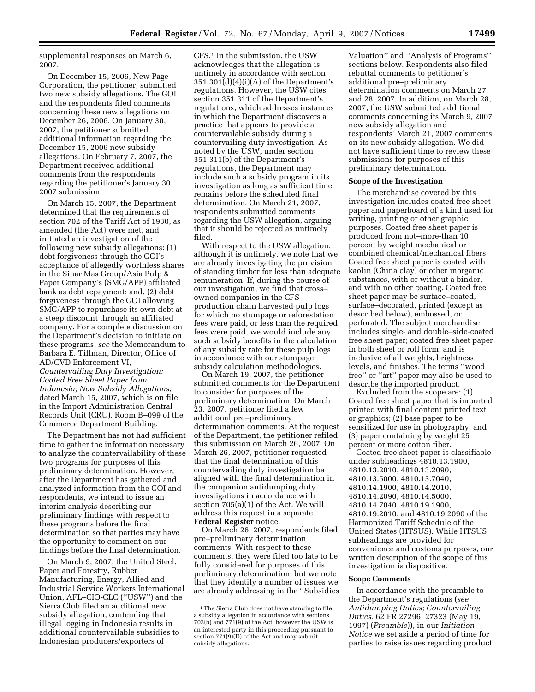supplemental responses on March 6, 2007.

On December 15, 2006, New Page Corporation, the petitioner, submitted two new subsidy allegations. The GOI and the respondents filed comments concerning these new allegations on December 26, 2006. On January 30, 2007, the petitioner submitted additional information regarding the December 15, 2006 new subsidy allegations. On February 7, 2007, the Department received additional comments from the respondents regarding the petitioner's January 30, 2007 submission.

On March 15, 2007, the Department determined that the requirements of section 702 of the Tariff Act of 1930, as amended (the Act) were met, and initiated an investigation of the following new subsidy allegations: (1) debt forgiveness through the GOI's acceptance of allegedly worthless shares in the Sinar Mas Group/Asia Pulp & Paper Company's (SMG/APP) affiliated bank as debt repayment; and, (2) debt forgiveness through the GOI allowing SMG/APP to repurchase its own debt at a steep discount through an affiliated company. For a complete discussion on the Department's decision to initiate on these programs, *see* the Memorandum to Barbara E. Tillman, Director, Office of AD/CVD Enforcement VI, *Countervailing Duty Investigation: Coated Free Sheet Paper from Indonesia; New Subsidy Allegations*, dated March 15, 2007, which is on file in the Import Administration Central Records Unit (CRU), Room B–099 of the Commerce Department Building.

The Department has not had sufficient time to gather the information necessary to analyze the countervailability of these two programs for purposes of this preliminary determination. However, after the Department has gathered and analyzed information from the GOI and respondents, we intend to issue an interim analysis describing our preliminary findings with respect to these programs before the final determination so that parties may have the opportunity to comment on our findings before the final determination.

On March 9, 2007, the United Steel, Paper and Forestry, Rubber Manufacturing, Energy, Allied and Industrial Service Workers International Union, AFL–CIO-CLC (''USW'') and the Sierra Club filed an additional new subsidy allegation, contending that illegal logging in Indonesia results in additional countervailable subsidies to Indonesian producers/exporters of

CFS.1 In the submission, the USW acknowledges that the allegation is untimely in accordance with section  $351.301(d)(4)(i)(A)$  of the Department's regulations. However, the USW cites section 351.311 of the Department's regulations, which addresses instances in which the Department discovers a practice that appears to provide a countervailable subsidy during a countervailing duty investigation. As noted by the USW, under section 351.311(b) of the Department's regulations, the Department may include such a subsidy program in its investigation as long as sufficient time remains before the scheduled final determination. On March 21, 2007, respondents submitted comments regarding the USW allegation, arguing that it should be rejected as untimely filed.

With respect to the USW allegation, although it is untimely, we note that we are already investigating the provision of standing timber for less than adequate remuneration. If, during the course of our investigation, we find that cross– owned companies in the CFS production chain harvested pulp logs for which no stumpage or reforestation fees were paid, or less than the required fees were paid, we would include any such subsidy benefits in the calculation of any subsidy rate for these pulp logs in accordance with our stumpage subsidy calculation methodologies.

On March 19, 2007, the petitioner submitted comments for the Department to consider for purposes of the preliminary determination. On March 23, 2007, petitioner filed a few additional pre–preliminary determination comments. At the request of the Department, the petitioner refiled this submission on March 26, 2007. On March 26, 2007, petitioner requested that the final determination of this countervailing duty investigation be aligned with the final determination in the companion antidumping duty investigations in accordance with section 705(a)(1) of the Act. We will address this request in a separate **Federal Register** notice.

On March 26, 2007, respondents filed pre–preliminary determination comments. With respect to these comments, they were filed too late to be fully considered for purposes of this preliminary determination, but we note that they identify a number of issues we are already addressing in the ''Subsidies

Valuation'' and ''Analysis of Programs'' sections below. Respondents also filed rebuttal comments to petitioner's additional pre–preliminary determination comments on March 27 and 28, 2007. In addition, on March 28, 2007, the USW submitted additional comments concerning its March 9, 2007 new subsidy allegation and respondents' March 21, 2007 comments on its new subsidy allegation. We did not have sufficient time to review these submissions for purposes of this preliminary determination.

## **Scope of the Investigation**

The merchandise covered by this investigation includes coated free sheet paper and paperboard of a kind used for writing, printing or other graphic purposes. Coated free sheet paper is produced from not–more-than 10 percent by weight mechanical or combined chemical/mechanical fibers. Coated free sheet paper is coated with kaolin (China clay) or other inorganic substances, with or without a binder, and with no other coating. Coated free sheet paper may be surface–coated, surface–decorated, printed (except as described below), embossed, or perforated. The subject merchandise includes single- and double–side-coated free sheet paper; coated free sheet paper in both sheet or roll form; and is inclusive of all weights, brightness levels, and finishes. The terms ''wood free'' or ''art'' paper may also be used to describe the imported product.

Excluded from the scope are: (1) Coated free sheet paper that is imported printed with final content printed text or graphics; (2) base paper to be sensitized for use in photography; and (3) paper containing by weight 25 percent or more cotton fiber.

Coated free sheet paper is classifiable under subheadings 4810.13.1900, 4810.13.2010, 4810.13.2090, 4810.13.5000, 4810.13.7040, 4810.14.1900, 4810.14.2010, 4810.14.2090, 4810.14.5000, 4810.14.7040, 4810.19.1900, 4810.19.2010, and 4810.19.2090 of the Harmonized Tariff Schedule of the United States (HTSUS). While HTSUS subheadings are provided for convenience and customs purposes, our written description of the scope of this investigation is dispositive.

#### **Scope Comments**

In accordance with the preamble to the Department's regulations (*see Antidumping Duties; Countervailing Duties*, 62 FR 27296, 27323 (May 19, 1997) (*Preamble*)), in our *Initiation Notice* we set aside a period of time for parties to raise issues regarding product

<sup>&</sup>lt;sup>1</sup>The Sierra Club does not have standing to file a subsidy allegation in accordance with sections 702(b) and 771(9) of the Act; however the USW is an interested party in this proceeding pursuant to section  $771(9)$ (D) of the Act and may submit subsidy allegations.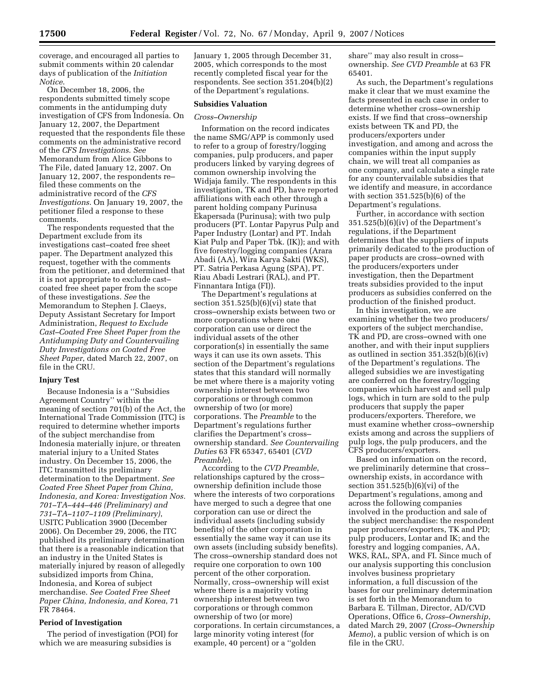coverage, and encouraged all parties to submit comments within 20 calendar days of publication of the *Initiation Notice*.

On December 18, 2006, the respondents submitted timely scope comments in the antidumping duty investigation of CFS from Indonesia. On January 12, 2007, the Department requested that the respondents file these comments on the administrative record of the *CFS Investigations*. *See*  Memorandum from Alice Gibbons to The File, dated January 12, 2007. On January 12, 2007, the respondents re– filed these comments on the administrative record of the *CFS Investigations*. On January 19, 2007, the petitioner filed a response to these comments.

The respondents requested that the Department exclude from its investigations cast–coated free sheet paper. The Department analyzed this request, together with the comments from the petitioner, and determined that it is not appropriate to exclude cast– coated free sheet paper from the scope of these investigations. *See* the Memorandum to Stephen J. Claeys, Deputy Assistant Secretary for Import Administration, *Request to Exclude Cast–Coated Free Sheet Paper from the Antidumping Duty and Countervailing Duty Investigations on Coated Free Sheet Paper*, dated March 22, 2007, on file in the CRU.

#### **Injury Test**

Because Indonesia is a ''Subsidies Agreement Country'' within the meaning of section 701(b) of the Act, the International Trade Commission (ITC) is required to determine whether imports of the subject merchandise from Indonesia materially injure, or threaten material injury to a United States industry. On December 15, 2006, the ITC transmitted its preliminary determination to the Department. *See Coated Free Sheet Paper from China, Indonesia, and Korea: Investigation Nos. 701–TA–444–446 (Preliminary) and 731–TA–1107–1109 (Preliminary)*, USITC Publication 3900 (December 2006). On December 29, 2006, the ITC published its preliminary determination that there is a reasonable indication that an industry in the United States is materially injured by reason of allegedly subsidized imports from China, Indonesia, and Korea of subject merchandise. *See Coated Free Sheet Paper China, Indonesia, and Korea*, 71 FR 78464.

#### **Period of Investigation**

The period of investigation (POI) for which we are measuring subsidies is

January 1, 2005 through December 31, 2005, which corresponds to the most recently completed fiscal year for the respondents. See section 351.204(b)(2) of the Department's regulations.

## **Subsidies Valuation**

#### *Cross–Ownership*

Information on the record indicates the name SMG/APP is commonly used to refer to a group of forestry/logging companies, pulp producers, and paper producers linked by varying degrees of common ownership involving the Widjaja family. The respondents in this investigation, TK and PD, have reported affiliations with each other through a parent holding company Purinusa Ekapersada (Purinusa); with two pulp producers (PT. Lontar Papyrus Pulp and Paper Industry (Lontar) and PT. Indah Kiat Pulp and Paper Tbk. (IK)); and with five forestry/logging companies (Arara Abadi (AA), Wira Karya Sakti (WKS), PT. Satria Perkasa Agung (SPA), PT. Riau Abadi Lestrari (RAL), and PT. Finnantara Intiga (FI)).

The Department's regulations at section  $351.525(b)(6)(vi)$  state that cross–ownership exists between two or more corporations where one corporation can use or direct the individual assets of the other corporation(s) in essentially the same ways it can use its own assets. This section of the Department's regulations states that this standard will normally be met where there is a majority voting ownership interest between two corporations or through common ownership of two (or more) corporations. The *Preamble* to the Department's regulations further clarifies the Department's cross– ownership standard. *See Countervailing Duties* 63 FR 65347, 65401 (*CVD Preamble*).

According to the *CVD Preamble*, relationships captured by the cross– ownership definition include those where the interests of two corporations have merged to such a degree that one corporation can use or direct the individual assets (including subsidy benefits) of the other corporation in essentially the same way it can use its own assets (including subsidy benefits). The cross–ownership standard does not require one corporation to own 100 percent of the other corporation. Normally, cross–ownership will exist where there is a majority voting ownership interest between two corporations or through common ownership of two (or more) corporations. In certain circumstances, a large minority voting interest (for example, 40 percent) or a ''golden

share'' may also result in cross– ownership. *See CVD Preamble* at 63 FR 65401.

As such, the Department's regulations make it clear that we must examine the facts presented in each case in order to determine whether cross–ownership exists. If we find that cross–ownership exists between TK and PD, the producers/exporters under investigation, and among and across the companies within the input supply chain, we will treat all companies as one company, and calculate a single rate for any countervailable subsidies that we identify and measure, in accordance with section 351.525(b)(6) of the Department's regulations.

Further, in accordance with section 351.525(b)(6)(iv) of the Department's regulations, if the Department determines that the suppliers of inputs primarily dedicated to the production of paper products are cross–owned with the producers/exporters under investigation, then the Department treats subsidies provided to the input producers as subsidies conferred on the production of the finished product.

In this investigation, we are examining whether the two producers/ exporters of the subject merchandise, TK and PD, are cross–owned with one another, and with their input suppliers as outlined in section 351.352(b)(6)(iv) of the Department's regulations. The alleged subsidies we are investigating are conferred on the forestry/logging companies which harvest and sell pulp logs, which in turn are sold to the pulp producers that supply the paper producers/exporters. Therefore, we must examine whether cross–ownership exists among and across the suppliers of pulp logs, the pulp producers, and the CFS producers/exporters.

Based on information on the record, we preliminarily determine that cross– ownership exists, in accordance with section 351.525(b)(6)(vi) of the Department's regulations, among and across the following companies involved in the production and sale of the subject merchandise: the respondent paper producers/exporters, TK and PD; pulp producers, Lontar and IK; and the forestry and logging companies, AA, WKS, RAL, SPA, and FI. Since much of our analysis supporting this conclusion involves business proprietary information, a full discussion of the bases for our preliminary determination is set forth in the Memorandum to Barbara E. Tillman, Director, AD/CVD Operations, Office 6, *Cross–Ownership*, dated March 29, 2007 (*Cross–Ownership Memo*), a public version of which is on file in the CRU.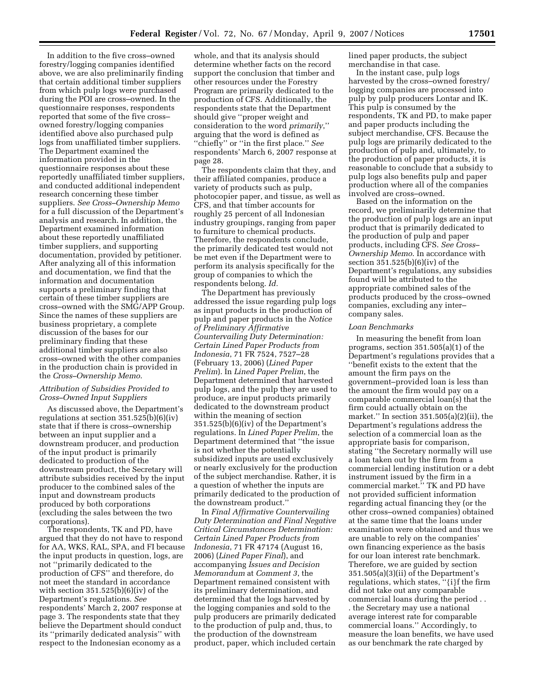In addition to the five cross–owned forestry/logging companies identified above, we are also preliminarily finding that certain additional timber suppliers from which pulp logs were purchased during the POI are cross–owned. In the questionnaire responses, respondents reported that some of the five cross– owned forestry/logging companies identified above also purchased pulp logs from unaffiliated timber suppliers. The Department examined the information provided in the questionnaire responses about these reportedly unaffiliated timber suppliers, and conducted additional independent research concerning these timber suppliers. *See Cross–Ownership Memo*  for a full discussion of the Department's analysis and research. In addition, the Department examined information about these reportedly unaffiliated timber suppliers, and supporting documentation, provided by petitioner. After analyzing all of this information and documentation, we find that the information and documentation supports a preliminary finding that certain of these timber suppliers are cross–owned with the SMG/APP Group. Since the names of these suppliers are business proprietary, a complete discussion of the bases for our preliminary finding that these additional timber suppliers are also cross–owned with the other companies in the production chain is provided in the *Cross–Ownership Memo*.

## *Attribution of Subsidies Provided to Cross–Owned Input Suppliers*

As discussed above, the Department's regulations at section  $351.525(b)(6)(iv)$ state that if there is cross–ownership between an input supplier and a downstream producer, and production of the input product is primarily dedicated to production of the downstream product, the Secretary will attribute subsidies received by the input producer to the combined sales of the input and downstream products produced by both corporations (excluding the sales between the two corporations).

The respondents, TK and PD, have argued that they do not have to respond for AA, WKS, RAL, SPA, and FI because the input products in question, logs, are not ''primarily dedicated to the production of CFS'' and therefore, do not meet the standard in accordance with section  $351.525(b)(6)(iv)$  of the Department's regulations. *See*  respondents' March 2, 2007 response at page 3. The respondents state that they believe the Department should conduct its ''primarily dedicated analysis'' with respect to the Indonesian economy as a

whole, and that its analysis should determine whether facts on the record support the conclusion that timber and other resources under the Forestry Program are primarily dedicated to the production of CFS. Additionally, the respondents state that the Department should give ''proper weight and consideration to the word *primarily*,'' arguing that the word is defined as ''chiefly'' or ''in the first place.'' *See*  respondents' March 6, 2007 response at page 28.

The respondents claim that they, and their affiliated companies, produce a variety of products such as pulp, photocopier paper, and tissue, as well as CFS, and that timber accounts for roughly 25 percent of all Indonesian industry groupings, ranging from paper to furniture to chemical products. Therefore, the respondents conclude, the primarily dedicated test would not be met even if the Department were to perform its analysis specifically for the group of companies to which the respondents belong. *Id.* 

The Department has previously addressed the issue regarding pulp logs as input products in the production of pulp and paper products in the *Notice of Preliminary Affirmative Countervailing Duty Determination: Certain Lined Paper Products from Indonesia*, 71 FR 7524, 7527–28 (February 13, 2006) (*Lined Paper Prelim*). In *Lined Paper Prelim*, the Department determined that harvested pulp logs, and the pulp they are used to produce, are input products primarily dedicated to the downstream product within the meaning of section 351.525(b)(6)(iv) of the Department's regulations. In *Lined Paper Prelim*, the Department determined that ''the issue is not whether the potentially subsidized inputs are used exclusively or nearly exclusively for the production of the subject merchandise. Rather, it is a question of whether the inputs are primarily dedicated to the production of the downstream product.''

In *Final Affirmative Countervailing Duty Determination and Final Negative Critical Circumstances Determination: Certain Lined Paper Products from Indonesia*, 71 FR 47174 (August 16, 2006) (*Lined Paper Final*), and accompanying *Issues and Decision Memorandum* at *Comment 3*, the Department remained consistent with its preliminary determination, and determined that the logs harvested by the logging companies and sold to the pulp producers are primarily dedicated to the production of pulp and, thus, to the production of the downstream product, paper, which included certain lined paper products, the subject merchandise in that case.

In the instant case, pulp logs harvested by the cross–owned forestry/ logging companies are processed into pulp by pulp producers Lontar and IK. This pulp is consumed by the respondents, TK and PD, to make paper and paper products including the subject merchandise, CFS. Because the pulp logs are primarily dedicated to the production of pulp and, ultimately, to the production of paper products, it is reasonable to conclude that a subsidy to pulp logs also benefits pulp and paper production where all of the companies involved are cross–owned.

Based on the information on the record, we preliminarily determine that the production of pulp logs are an input product that is primarily dedicated to the production of pulp and paper products, including CFS. *See Cross– Ownership Memo*. In accordance with section 351.525(b)(6)(iv) of the Department's regulations, any subsidies found will be attributed to the appropriate combined sales of the products produced by the cross–owned companies, excluding any inter– company sales.

#### *Loan Benchmarks*

In measuring the benefit from loan programs, section 351.505(a)(1) of the Department's regulations provides that a ''benefit exists to the extent that the amount the firm pays on the government–provided loan is less than the amount the firm would pay on a comparable commercial loan(s) that the firm could actually obtain on the market.'' In section 351.505(a)(2)(ii), the Department's regulations address the selection of a commercial loan as the appropriate basis for comparison, stating ''the Secretary normally will use a loan taken out by the firm from a commercial lending institution or a debt instrument issued by the firm in a commercial market.'' TK and PD have not provided sufficient information regarding actual financing they (or the other cross–owned companies) obtained at the same time that the loans under examination were obtained and thus we are unable to rely on the companies' own financing experience as the basis for our loan interest rate benchmark. Therefore, we are guided by section 351.505(a)(3)(ii) of the Department's regulations, which states, ''{i}f the firm did not take out any comparable commercial loans during the period . . . the Secretary may use a national average interest rate for comparable commercial loans.'' Accordingly, to measure the loan benefits, we have used as our benchmark the rate charged by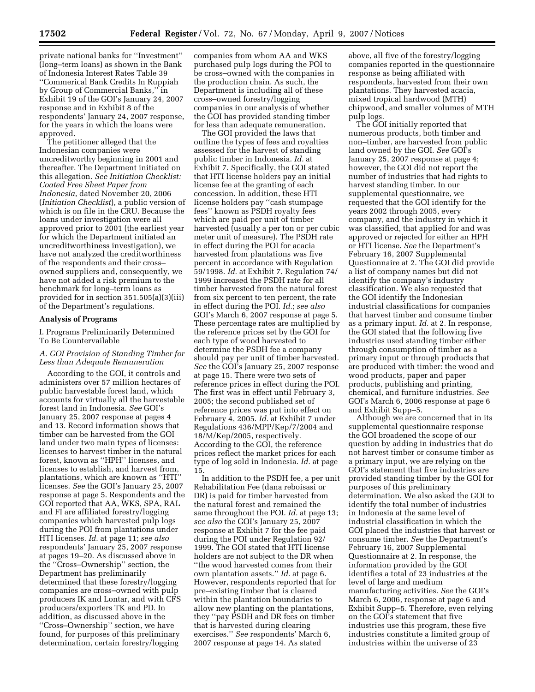private national banks for ''Investment'' (long–term loans) as shown in the Bank of Indonesia Interest Rates Table 39 ''Commerical Bank Credits In Ruppiah by Group of Commercial Banks,'' in Exhibit 19 of the GOI's January 24, 2007 response and in Exhibit 8 of the respondents' January 24, 2007 response, for the years in which the loans were approved.

The petitioner alleged that the Indonesian companies were uncreditworthy beginning in 2001 and thereafter. The Department initiated on this allegation. *See Initiation Checklist: Coated Free Sheet Paper from Indonesia*, dated November 20, 2006 (*Initiation Checklist*), a public version of which is on file in the CRU. Because the loans under investigation were all approved prior to 2001 (the earliest year for which the Department initiated an uncreditworthiness investigation), we have not analyzed the creditworthiness of the respondents and their cross– owned suppliers and, consequently, we have not added a risk premium to the benchmark for long–term loans as provided for in section 351.505(a)(3)(iii) of the Department's regulations.

#### **Analysis of Programs**

I. Programs Preliminarily Determined To Be Countervailable

## *A. GOI Provision of Standing Timber for Less than Adequate Remuneration*

According to the GOI, it controls and administers over 57 million hectares of public harvestable forest land, which accounts for virtually all the harvestable forest land in Indonesia. *See* GOI's January 25, 2007 response at pages 4 and 13. Record information shows that timber can be harvested from the GOI land under two main types of licenses: licenses to harvest timber in the natural forest, known as ''HPH'' licenses, and licenses to establish, and harvest from, plantations, which are known as ''HTI'' licenses. *See* the GOI's January 25, 2007 response at page 5. Respondents and the GOI reported that AA, WKS, SPA, RAL and FI are affiliated forestry/logging companies which harvested pulp logs during the POI from plantations under HTI licenses. *Id.* at page 11; *see also*  respondents' January 25, 2007 response at pages 19–20. As discussed above in the ''Cross–Ownership'' section, the Department has preliminarily determined that these forestry/logging companies are cross–owned with pulp producers IK and Lontar, and with CFS producers/exporters TK and PD. In addition, as discussed above in the ''Cross–Ownership'' section, we have found, for purposes of this preliminary determination, certain forestry/logging

companies from whom AA and WKS purchased pulp logs during the POI to be cross–owned with the companies in the production chain. As such, the Department is including all of these cross–owned forestry/logging companies in our analysis of whether the GOI has provided standing timber for less than adequate remuneration.

The GOI provided the laws that outline the types of fees and royalties assessed for the harvest of standing public timber in Indonesia. *Id.* at Exhibit 7. Specifically, the GOI stated that HTI license holders pay an initial license fee at the granting of each concession. In addition, these HTI license holders pay ''cash stumpage fees'' known as PSDH royalty fees which are paid per unit of timber harvested (usually a per ton or per cubic meter unit of measure). The PSDH rate in effect during the POI for acacia harvested from plantations was five percent in accordance with Regulation 59/1998. *Id.* at Exhibit 7. Regulation 74/ 1999 increased the PSDH rate for all timber harvested from the natural forest from six percent to ten percent, the rate in effect during the POI. *Id.*; *see also*  GOI's March 6, 2007 response at page 5. These percentage rates are multiplied by the reference prices set by the GOI for each type of wood harvested to determine the PSDH fee a company should pay per unit of timber harvested. *See* the GOI's January 25, 2007 response at page 15. There were two sets of reference prices in effect during the POI. The first was in effect until February 3, 2005; the second published set of reference prices was put into effect on February 4, 2005. *Id.* at Exhibit 7 under Regulations 436/MPP/Kep/7/2004 and 18/M/Kep/2005, respectively. According to the GOI, the reference prices reflect the market prices for each type of log sold in Indonesia. *Id.* at page 15.

In addition to the PSDH fee, a per unit Rehabilitation Fee (dana reboisasi or DR) is paid for timber harvested from the natural forest and remained the same throughout the POI. *Id.* at page 13; *see also* the GOI's January 25, 2007 response at Exhibit 7 for the fee paid during the POI under Regulation 92/ 1999. The GOI stated that HTI license holders are not subject to the DR when ''the wood harvested comes from their own plantation assets.'' *Id.* at page 6. However, respondents reported that for pre–existing timber that is cleared within the plantation boundaries to allow new planting on the plantations, they ''pay PSDH and DR fees on timber that is harvested during clearing exercises.'' *See* respondents' March 6, 2007 response at page 14. As stated

above, all five of the forestry/logging companies reported in the questionnaire response as being affiliated with respondents, harvested from their own plantations. They harvested acacia, mixed tropical hardwood (MTH) chipwood, and smaller volumes of MTH pulp logs.

The GOI initially reported that numerous products, both timber and non–timber, are harvested from public land owned by the GOI. *See* GOI's January 25, 2007 response at page 4; however, the GOI did not report the number of industries that had rights to harvest standing timber. In our supplemental questionnaire, we requested that the GOI identify for the years 2002 through 2005, every company, and the industry in which it was classified, that applied for and was approved or rejected for either an HPH or HTI license. *See* the Department's February 16, 2007 Supplemental Questionnaire at 2. The GOI did provide a list of company names but did not identify the company's industry classification. We also requested that the GOI identify the Indonesian industrial classifications for companies that harvest timber and consume timber as a primary input. *Id.* at 2. In response, the GOI stated that the following five industries used standing timber either through consumption of timber as a primary input or through products that are produced with timber: the wood and wood products, paper and paper products, publishing and printing, chemical, and furniture industries. *See*  GOI's March 6, 2006 response at page 6 and Exhibit Supp–5.

Although we are concerned that in its supplemental questionnaire response the GOI broadened the scope of our question by adding in industries that do not harvest timber or consume timber as a primary input, we are relying on the GOI's statement that five industries are provided standing timber by the GOI for purposes of this preliminary determination. We also asked the GOI to identify the total number of industries in Indonesia at the same level of industrial classification in which the GOI placed the industries that harvest or consume timber. *See* the Department's February 16, 2007 Supplemental Questionnaire at 2. In response, the information provided by the GOI identifies a total of 23 industries at the level of large and medium manufacturing activities. *See* the GOI's March 6, 2006, response at page 6 and Exhibit Supp–5. Therefore, even relying on the GOI's statement that five industries use this program, these five industries constitute a limited group of industries within the universe of 23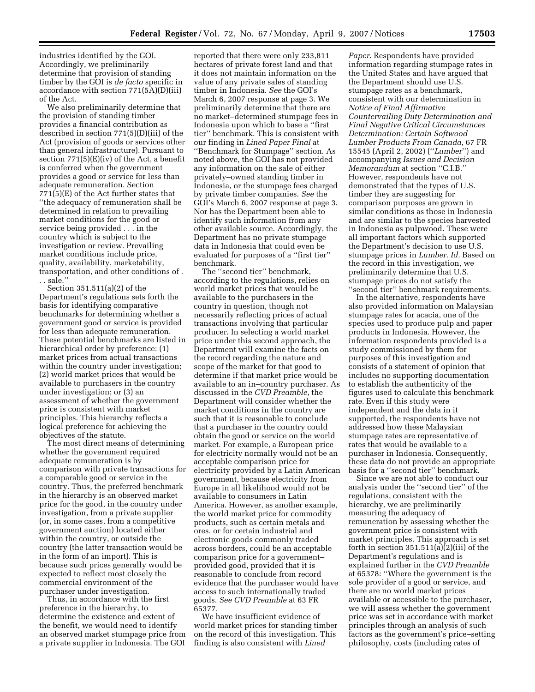industries identified by the GOI. Accordingly, we preliminarily determine that provision of standing timber by the GOI is *de facto* specific in accordance with section 771(5A)(D)(iii) of the Act.

We also preliminarily determine that the provision of standing timber provides a financial contribution as described in section 771(5)(D)(iii) of the Act (provision of goods or services other than general infrastructure). Pursuant to section  $771(5)(E)(iv)$  of the Act, a benefit is conferred when the government provides a good or service for less than adequate remuneration. Section 771(5)(E) of the Act further states that ''the adequacy of remuneration shall be determined in relation to prevailing market conditions for the good or service being provided . . . in the country which is subject to the investigation or review. Prevailing market conditions include price, quality, availability, marketability, transportation, and other conditions of . . . sale.''

Section 351.511(a)(2) of the Department's regulations sets forth the basis for identifying comparative benchmarks for determining whether a government good or service is provided for less than adequate remuneration. These potential benchmarks are listed in hierarchical order by preference: (1) market prices from actual transactions within the country under investigation; (2) world market prices that would be available to purchasers in the country under investigation; or (3) an assessment of whether the government price is consistent with market principles. This hierarchy reflects a logical preference for achieving the objectives of the statute.

The most direct means of determining whether the government required adequate remuneration is by comparison with private transactions for a comparable good or service in the country. Thus, the preferred benchmark in the hierarchy is an observed market price for the good, in the country under investigation, from a private supplier (or, in some cases, from a competitive government auction) located either within the country, or outside the country (the latter transaction would be in the form of an import). This is because such prices generally would be expected to reflect most closely the commercial environment of the purchaser under investigation.

Thus, in accordance with the first preference in the hierarchy, to determine the existence and extent of the benefit, we would need to identify an observed market stumpage price from a private supplier in Indonesia. The GOI

reported that there were only 233,811 hectares of private forest land and that it does not maintain information on the value of any private sales of standing timber in Indonesia. *See* the GOI's March 6, 2007 response at page 3. We preliminarily determine that there are no market–determined stumpage fees in Indonesia upon which to base a ''first tier'' benchmark. This is consistent with our finding in *Lined Paper Final* at ''Benchmark for Stumpage'' section. As noted above, the GOI has not provided any information on the sale of either privately–owned standing timber in Indonesia, or the stumpage fees charged by private timber companies. *See* the GOI's March 6, 2007 response at page 3. Nor has the Department been able to identify such information from any other available source. Accordingly, the Department has no private stumpage data in Indonesia that could even be evaluated for purposes of a ''first tier'' benchmark.

The ''second tier'' benchmark, according to the regulations, relies on world market prices that would be available to the purchasers in the country in question, though not necessarily reflecting prices of actual transactions involving that particular producer. In selecting a world market price under this second approach, the Department will examine the facts on the record regarding the nature and scope of the market for that good to determine if that market price would be available to an in–country purchaser. As discussed in the *CVD Preamble*, the Department will consider whether the market conditions in the country are such that it is reasonable to conclude that a purchaser in the country could obtain the good or service on the world market. For example, a European price for electricity normally would not be an acceptable comparison price for electricity provided by a Latin American government, because electricity from Europe in all likelihood would not be available to consumers in Latin America. However, as another example, the world market price for commodity products, such as certain metals and ores, or for certain industrial and electronic goods commonly traded across borders, could be an acceptable comparison price for a government– provided good, provided that it is reasonable to conclude from record evidence that the purchaser would have access to such internationally traded goods. *See CVD Preamble* at 63 FR 65377.

We have insufficient evidence of world market prices for standing timber on the record of this investigation. This finding is also consistent with *Lined* 

*Paper*. Respondents have provided information regarding stumpage rates in the United States and have argued that the Department should use U.S. stumpage rates as a benchmark, consistent with our determination in *Notice of Final Affirmative Countervailing Duty Determination and Final Negative Critical Circumstances Determination: Certain Softwood Lumber Products From Canada*, 67 FR 15545 (April 2, 2002) (''*Lumber*'') and accompanying *Issues and Decision Memorandum* at section ''C.I.B.'' However, respondents have not demonstrated that the types of U.S. timber they are suggesting for comparison purposes are grown in similar conditions as those in Indonesia and are similar to the species harvested in Indonesia as pulpwood. These were all important factors which supported the Department's decision to use U.S. stumpage prices in *Lumber*. *Id.* Based on the record in this investigation, we preliminarily determine that U.S. stumpage prices do not satisfy the ''second tier'' benchmark requirements.

In the alternative, respondents have also provided information on Malaysian stumpage rates for acacia, one of the species used to produce pulp and paper products in Indonesia. However, the information respondents provided is a study commissioned by them for purposes of this investigation and consists of a statement of opinion that includes no supporting documentation to establish the authenticity of the figures used to calculate this benchmark rate. Even if this study were independent and the data in it supported, the respondents have not addressed how these Malaysian stumpage rates are representative of rates that would be available to a purchaser in Indonesia. Consequently, these data do not provide an appropriate basis for a ''second tier'' benchmark.

Since we are not able to conduct our analysis under the ''second tier'' of the regulations, consistent with the hierarchy, we are preliminarily measuring the adequacy of remuneration by assessing whether the government price is consistent with market principles. This approach is set forth in section 351.511(a)(2)(iii) of the Department's regulations and is explained further in the *CVD Preamble*  at 65378: ''Where the government is the sole provider of a good or service, and there are no world market prices available or accessible to the purchaser, we will assess whether the government price was set in accordance with market principles through an analysis of such factors as the government's price–setting philosophy, costs (including rates of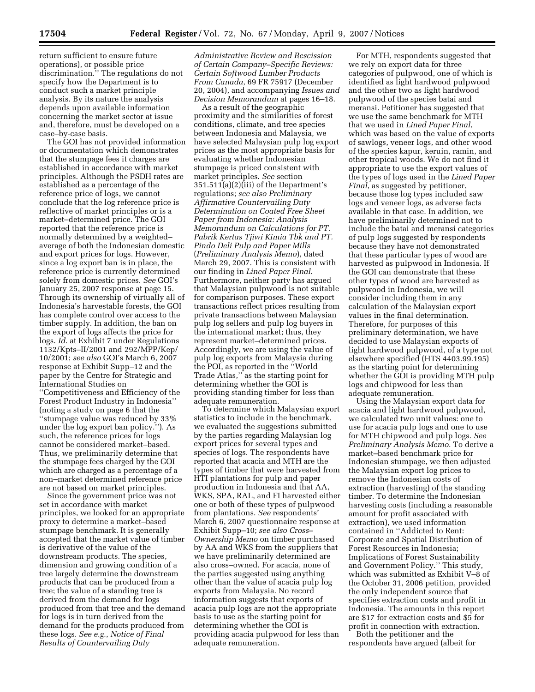return sufficient to ensure future operations), or possible price discrimination.'' The regulations do not specify how the Department is to conduct such a market principle analysis. By its nature the analysis depends upon available information concerning the market sector at issue and, therefore, must be developed on a case–by-case basis.

The GOI has not provided information or documentation which demonstrates that the stumpage fees it charges are established in accordance with market principles. Although the PSDH rates are established as a percentage of the reference price of logs, we cannot conclude that the log reference price is reflective of market principles or is a market–determined price. The GOI reported that the reference price is normally determined by a weighted– average of both the Indonesian domestic and export prices for logs. However, since a log export ban is in place, the reference price is currently determined solely from domestic prices. *See* GOI's January 25, 2007 response at page 15. Through its ownership of virtually all of Indonesia's harvestable forests, the GOI has complete control over access to the timber supply. In addition, the ban on the export of logs affects the price for logs. *Id.* at Exhibit 7 under Regulations 1132/Kpts–II/2001 and 292/MPP/Kep/ 10/2001; *see also* GOI's March 6, 2007 response at Exhibit Supp–12 and the paper by the Centre for Strategic and International Studies on ''Competitiveness and Efficiency of the Forest Product Industry in Indonesia'' (noting a study on page 6 that the ''stumpage value was reduced by 33% under the log export ban policy.''). As such, the reference prices for logs cannot be considered market–based. Thus, we preliminarily determine that the stumpage fees charged by the GOI which are charged as a percentage of a non–market determined reference price are not based on market principles.

Since the government price was not set in accordance with market principles, we looked for an appropriate proxy to determine a market–based stumpage benchmark. It is generally accepted that the market value of timber is derivative of the value of the downstream products. The species, dimension and growing condition of a tree largely determine the downstream products that can be produced from a tree; the value of a standing tree is derived from the demand for logs produced from that tree and the demand for logs is in turn derived from the demand for the products produced from these logs. *See e.g.*, *Notice of Final Results of Countervailing Duty* 

*Administrative Review and Rescission of Certain Company–Specific Reviews: Certain Softwood Lumber Products From Canada*, 69 FR 75917 (December 20, 2004), and accompanying *Issues and Decision Memorandum* at pages 16–18.

As a result of the geographic proximity and the similarities of forest conditions, climate, and tree species between Indonesia and Malaysia, we have selected Malaysian pulp log export prices as the most appropriate basis for evaluating whether Indonesian stumpage is priced consistent with market principles. *See* section 351.511(a)(2)(iii) of the Department's regulations; *see also Preliminary Affirmative Countervailing Duty Determination on Coated Free Sheet Paper from Indonesia: Analysis Memorandum on Calculations for PT. Pabrik Kertas Tjiwi Kimia Tbk and PT. Pindo Deli Pulp and Paper Mills*  (*Preliminary Analysis Memo*), dated March 29, 2007. This is consistent with our finding in *Lined Paper Final*. Furthermore, neither party has argued that Malaysian pulpwood is not suitable for comparison purposes. These export transactions reflect prices resulting from private transactions between Malaysian pulp log sellers and pulp log buyers in the international market; thus, they represent market–determined prices. Accordingly, we are using the value of pulp log exports from Malaysia during the POI, as reported in the ''World Trade Atlas,'' as the starting point for determining whether the GOI is providing standing timber for less than adequate remuneration.

To determine which Malaysian export statistics to include in the benchmark, we evaluated the suggestions submitted by the parties regarding Malaysian log export prices for several types and species of logs. The respondents have reported that acacia and MTH are the types of timber that were harvested from HTI plantations for pulp and paper production in Indonesia and that AA, WKS, SPA, RAL, and FI harvested either one or both of these types of pulpwood from plantations. *See* respondents' March 6, 2007 questionnaire response at Exhibit Supp–10; *see also Cross– Ownership Memo* on timber purchased by AA and WKS from the suppliers that we have preliminarily determined are also cross–owned. For acacia, none of the parties suggested using anything other than the value of acacia pulp log exports from Malaysia. No record information suggests that exports of acacia pulp logs are not the appropriate basis to use as the starting point for determining whether the GOI is providing acacia pulpwood for less than adequate remuneration.

For MTH, respondents suggested that we rely on export data for three categories of pulpwood, one of which is identified as light hardwood pulpwood and the other two as light hardwood pulpwood of the species batai and meransi. Petitioner has suggested that we use the same benchmark for MTH that we used in *Lined Paper Final*, which was based on the value of exports of sawlogs, veneer logs, and other wood of the species kapur, keruin, ramin, and other tropical woods. We do not find it appropriate to use the export values of the types of logs used in the *Lined Paper Final*, as suggested by petitioner, because those log types included saw logs and veneer logs, as adverse facts available in that case. In addition, we have preliminarily determined not to include the batai and meransi categories of pulp logs suggested by respondents because they have not demonstrated that these particular types of wood are harvested as pulpwood in Indonesia. If the GOI can demonstrate that these other types of wood are harvested as pulpwood in Indonesia, we will consider including them in any calculation of the Malaysian export values in the final determination. Therefore, for purposes of this preliminary determination, we have decided to use Malaysian exports of light hardwood pulpwood, of a type not elsewhere specified (HTS 4403.99.195) as the starting point for determining whether the GOI is providing MTH pulp logs and chipwood for less than adequate remuneration.

Using the Malaysian export data for acacia and light hardwood pulpwood, we calculated two unit values: one to use for acacia pulp logs and one to use for MTH chipwood and pulp logs. *See Preliminary Analysis Memo*. To derive a market–based benchmark price for Indonesian stumpage, we then adjusted the Malaysian export log prices to remove the Indonesian costs of extraction (harvesting) of the standing timber. To determine the Indonesian harvesting costs (including a reasonable amount for profit associated with extraction), we used information contained in ''Addicted to Rent: Corporate and Spatial Distribution of Forest Resources in Indonesia; Implications of Forest Sustainability and Government Policy.'' This study, which was submitted as Exhibit V–8 of the October 31, 2006 petition, provided the only independent source that specifies extraction costs and profit in Indonesia. The amounts in this report are \$17 for extraction costs and \$5 for profit in connection with extraction.

Both the petitioner and the respondents have argued (albeit for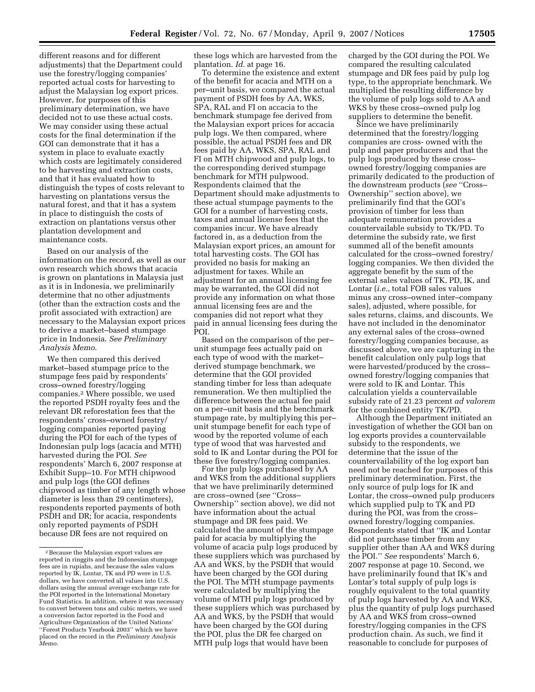different reasons and for different adjustments) that the Department could use the forestry/logging companies' reported actual costs for harvesting to adjust the Malaysian log export prices. However, for purposes of this preliminary determination, we have decided not to use these actual costs. We may consider using these actual costs for the final determination if the GOI can demonstrate that it has a system in place to evaluate exactly which costs are legitimately considered to be harvesting and extraction costs, and that it has evaluated how to distinguish the types of costs relevant to harvesting on plantations versus the natural forest, and that it has a system in place to distinguish the costs of extraction on plantations versus other plantation development and maintenance costs.

Based on our analysis of the information on the record, as well as our own research which shows that acacia is grown on plantations in Malaysia just as it is in Indonesia, we preliminarily determine that no other adjustments (other than the extraction costs and the profit associated with extraction) are necessary to the Malaysian export prices to derive a market–based stumpage price in Indonesia. *See Preliminary Analysis Memo*.

We then compared this derived market–based stumpage price to the stumpage fees paid by respondents' cross–owned forestry/logging companies.2 Where possible, we used the reported PSDH royalty fees and the relevant DR reforestation fees that the respondents' cross–owned forestry/ logging companies reported paying during the POI for each of the types of Indonesian pulp logs (acacia and MTH) harvested during the POI. *See*  respondents' March 6, 2007 response at Exhibit Supp–10. For MTH chipwood and pulp logs (the GOI defines chipwood as timber of any length whose diameter is less than 29 centimeters), respondents reported payments of both PSDH and DR; for acacia, respondents only reported payments of PSDH because DR fees are not required on

these logs which are harvested from the plantation. *Id.* at page 16.

To determine the existence and extent of the benefit for acacia and MTH on a per–unit basis, we compared the actual payment of PSDH fees by AA, WKS, SPA, RAL and FI on accacia to the benchmark stumpage fee derived from the Malaysian export prices for accacia pulp logs. We then compared, where possible, the actual PSDH fees and DR fees paid by AA, WKS, SPA, RAL and FI on MTH chipwood and pulp logs, to the corresponding derived stumpage benchmark for MTH pulpwood. Respondents claimed that the Department should make adjustments to these actual stumpage payments to the GOI for a number of harvesting costs, taxes and annual license fees that the companies incur. We have already factored in, as a deduction from the Malaysian export prices, an amount for total harvesting costs. The GOI has provided no basis for making an adjustment for taxes. While an adjustment for an annual licensing fee may be warranted, the GOI did not provide any information on what those annual licensing fees are and the companies did not report what they paid in annual licensing fees during the POI.

Based on the comparison of the per– unit stumpage fees actually paid on each type of wood with the market– derived stumpage benchmark, we determine that the GOI provided standing timber for less than adequate remuneration. We then multiplied the difference between the actual fee paid on a per–unit basis and the benchmark stumpage rate, by multiplying this per– unit stumpage benefit for each type of wood by the reported volume of each type of wood that was harvested and sold to IK and Lontar during the POI for these five forestry/logging companies.

For the pulp logs purchased by AA and WKS from the additional suppliers that we have preliminarily determined are cross–owned (*see* ''Cross– Ownership'' section above), we did not have information about the actual stumpage and DR fees paid. We calculated the amount of the stumpage paid for acacia by multiplying the volume of acacia pulp logs produced by these suppliers which was purchased by AA and WKS, by the PSDH that would have been charged by the GOI during the POI. The MTH stumpage payments were calculated by multiplying the volume of MTH pulp logs produced by these suppliers which was purchased by AA and WKS, by the PSDH that would have been charged by the GOI during the POI, plus the DR fee charged on MTH pulp logs that would have been

charged by the GOI during the POI. We compared the resulting calculated stumpage and DR fees paid by pulp log type, to the appropriate benchmark. We multiplied the resulting difference by the volume of pulp logs sold to AA and WKS by these cross–owned pulp log suppliers to determine the benefit.

Since we have preliminarily determined that the forestry/logging companies are cross- owned with the pulp and paper producers and that the pulp logs produced by these cross– owned forestry/logging companies are primarily dedicated to the production of the downstream products (*see* ''Cross– Ownership'' section above), we preliminarily find that the GOI's provision of timber for less than adequate remuneration provides a countervailable subsidy to TK/PD. To determine the subsidy rate, we first summed all of the benefit amounts calculated for the cross–owned forestry/ logging companies. We then divided the aggregate benefit by the sum of the external sales values of TK, PD, IK, and Lontar (*i.e.*, total FOB sales values minus any cross–owned inter–company sales), adjusted, where possible, for sales returns, claims, and discounts. We have not included in the denominator any external sales of the cross–owned forestry/logging companies because, as discussed above, we are capturing in the benefit calculation only pulp logs that were harvested/produced by the cross– owned forestry/logging companies that were sold to IK and Lontar. This calculation yields a countervailable subsidy rate of 21.23 percent *ad valorem*  for the combined entity TK/PD.

Although the Department initiated an investigation of whether the GOI ban on log exports provides a countervailable subsidy to the respondents, we determine that the issue of the countervailability of the log export ban need not be reached for purposes of this preliminary determination. First, the only source of pulp logs for IK and Lontar, the cross–owned pulp producers which supplied pulp to TK and PD during the POI, was from the cross– owned forestry/logging companies. Respondents stated that ''IK and Lontar did not purchase timber from any supplier other than AA and WKS during the POI.'' *See* respondents' March 6, 2007 response at page 10. Second, we have preliminarily found that IK's and Lontar's total supply of pulp logs is roughly equivalent to the total quantity of pulp logs harvested by AA and WKS, plus the quantity of pulp logs purchased by AA and WKS from cross–owned forestry/logging companies in the CFS production chain. As such, we find it reasonable to conclude for purposes of

<sup>2</sup>Because the Malaysian export values are reported in ringgits and the Indonesian stumpage fees are in rupiahs, and because the sales values reported by IK, Lontar, TK and PD were in U.S. dollars, we have converted all values into U.S. dollars using the annual average exchange rate for the POI reported in the International Monetary Fund Statistics. In addition, where it was necessary to convert between tons and cubic meters, we used a conversion factor reported in the Food and Agriculture Organization of the United Nations' ''Forest Products Yearbook 2003'' which we have placed on the record in the *Preliminary Analysis Memo*.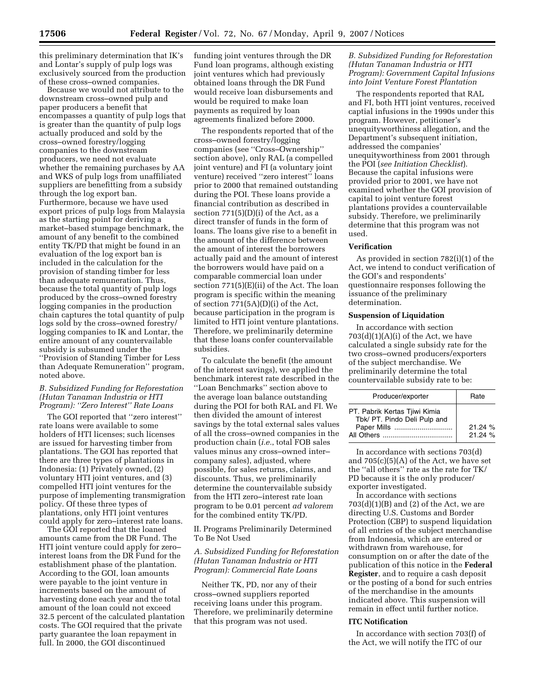this preliminary determination that IK's and Lontar's supply of pulp logs was exclusively sourced from the production of these cross–owned companies.

Because we would not attribute to the downstream cross–owned pulp and paper producers a benefit that encompasses a quantity of pulp logs that is greater than the quantity of pulp logs actually produced and sold by the cross–owned forestry/logging companies to the downstream producers, we need not evaluate whether the remaining purchases by AA and WKS of pulp logs from unaffiliated suppliers are benefitting from a subsidy through the log export ban. Furthermore, because we have used export prices of pulp logs from Malaysia as the starting point for deriving a market–based stumpage benchmark, the amount of any benefit to the combined entity TK/PD that might be found in an evaluation of the log export ban is included in the calculation for the provision of standing timber for less than adequate remuneration. Thus, because the total quantity of pulp logs produced by the cross–owned forestry logging companies in the production chain captures the total quantity of pulp logs sold by the cross–owned forestry/ logging companies to IK and Lontar, the entire amount of any countervailable subsidy is subsumed under the ''Provision of Standing Timber for Less than Adequate Remuneration'' program, noted above.

## *B. Subsidized Funding for Reforestation (Hutan Tanaman Industria or HTI Program): ''Zero Interest'' Rate Loans*

The GOI reported that ''zero interest'' rate loans were available to some holders of HTI licenses; such licenses are issued for harvesting timber from plantations. The GOI has reported that there are three types of plantations in Indonesia: (1) Privately owned, (2) voluntary HTI joint ventures, and (3) compelled HTI joint ventures for the purpose of implementing transmigration policy. Of these three types of plantations, only HTI joint ventures could apply for zero–interest rate loans.

The GOI reported that the loaned amounts came from the DR Fund. The HTI joint venture could apply for zero– interest loans from the DR Fund for the establishment phase of the plantation. According to the GOI, loan amounts were payable to the joint venture in increments based on the amount of harvesting done each year and the total amount of the loan could not exceed 32.5 percent of the calculated plantation costs. The GOI required that the private party guarantee the loan repayment in full. In 2000, the GOI discontinued

funding joint ventures through the DR Fund loan programs, although existing joint ventures which had previously obtained loans through the DR Fund would receive loan disbursements and would be required to make loan payments as required by loan agreements finalized before 2000.

The respondents reported that of the cross–owned forestry/logging companies (see ''Cross–Ownership'' section above), only RAL (a compelled joint venture) and FI (a voluntary joint venture) received ''zero interest'' loans prior to 2000 that remained outstanding during the POI. These loans provide a financial contribution as described in section  $771(5)(D)(i)$  of the Act, as a direct transfer of funds in the form of loans. The loans give rise to a benefit in the amount of the difference between the amount of interest the borrowers actually paid and the amount of interest the borrowers would have paid on a comparable commercial loan under section 771(5)(E)(ii) of the Act. The loan program is specific within the meaning of section 771(5A)(D)(i) of the Act, because participation in the program is limited to HTI joint venture plantations. Therefore, we preliminarily determine that these loans confer countervailable subsidies.

To calculate the benefit (the amount of the interest savings), we applied the benchmark interest rate described in the ''Loan Benchmarks'' section above to the average loan balance outstanding during the POI for both RAL and FI. We then divided the amount of interest savings by the total external sales values of all the cross–owned companies in the production chain (*i.e.*, total FOB sales values minus any cross–owned inter– company sales), adjusted, where possible, for sales returns, claims, and discounts. Thus, we preliminarily determine the countervailable subsidy from the HTI zero–interest rate loan program to be 0.01 percent *ad valorem*  for the combined entity TK/PD.

II. Programs Preliminarily Determined To Be Not Used

## *A. Subsidized Funding for Reforestation (Hutan Tanaman Industria or HTI Program): Commercial Rate Loans*

Neither TK, PD, nor any of their cross–owned suppliers reported receiving loans under this program. Therefore, we preliminarily determine that this program was not used.

## *B. Subsidized Funding for Reforestation (Hutan Tanaman Industria or HTI Program): Government Capital Infusions into Joint Venture Forest Plantation*

The respondents reported that RAL and FI, both HTI joint ventures, received captial infusions in the 1990s under this program. However, petitioner's unequityworthiness allegation, and the Department's subsequent initiation, addressed the companies' unequityworthiness from 2001 through the POI (*see Initiation Checklist*). Because the capital infusions were provided prior to 2001, we have not examined whether the GOI provision of capital to joint venture forest plantations provides a countervailable subsidy. Therefore, we preliminarily determine that this program was not used.

#### **Verification**

As provided in section 782(i)(1) of the Act, we intend to conduct verification of the GOI's and respondents' questionnaire responses following the issuance of the preliminary determination.

#### **Suspension of Liquidation**

In accordance with section  $703(d)(1)(A)(i)$  of the Act, we have calculated a single subsidy rate for the two cross–owned producers/exporters of the subject merchandise. We preliminarily determine the total countervailable subsidy rate to be:

| Producer/exporter                                             | Rate              |
|---------------------------------------------------------------|-------------------|
| PT. Pabrik Kertas Tjiwi Kimia<br>Tbk/ PT. Pindo Deli Pulp and |                   |
| Paper Mills                                                   | 21.24 %<br>21.24% |

In accordance with sections 703(d) and  $705(c)(5)(A)$  of the Act, we have set the ''all others'' rate as the rate for TK/ PD because it is the only producer/ exporter investigated.

In accordance with sections  $703(d)(1)(B)$  and  $(2)$  of the Act, we are directing U.S. Customs and Border Protection (CBP) to suspend liquidation of all entries of the subject merchandise from Indonesia, which are entered or withdrawn from warehouse, for consumption on or after the date of the publication of this notice in the **Federal Register**, and to require a cash deposit or the posting of a bond for such entries of the merchandise in the amounts indicated above. This suspension will remain in effect until further notice.

#### **ITC Notification**

In accordance with section 703(f) of the Act, we will notify the ITC of our